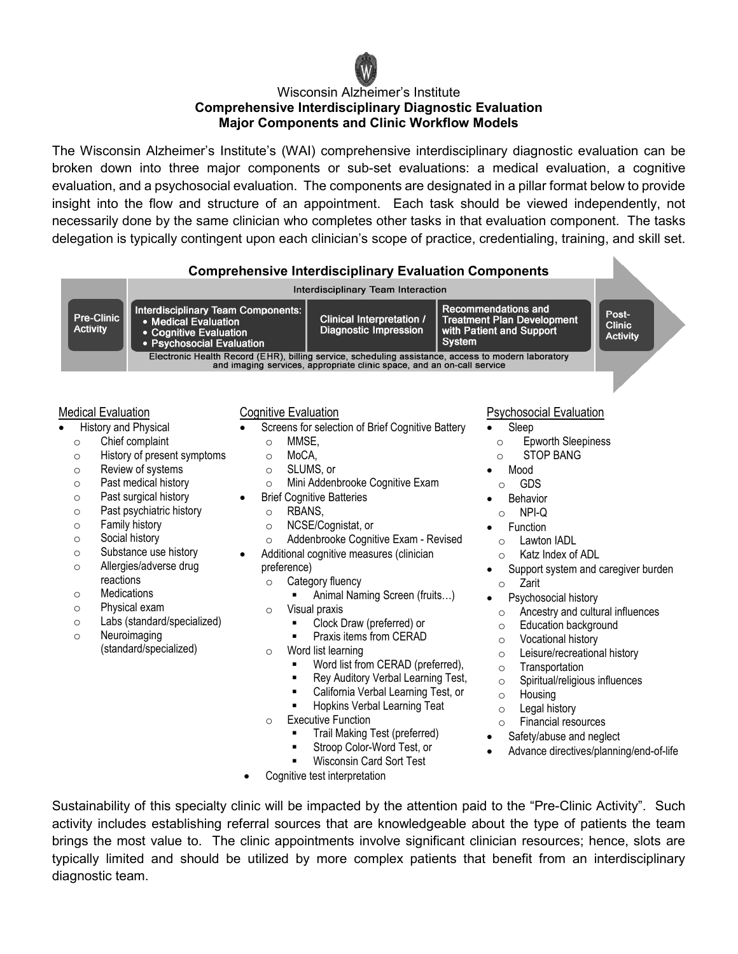

## Wisconsin Alzheimer's Institute **Comprehensive Interdisciplinary Diagnostic Evaluation Major Components and Clinic Workflow Models**

The Wisconsin Alzheimer's Institute's (WAI) comprehensive interdisciplinary diagnostic evaluation can be broken down into three major components or sub-set evaluations: a medical evaluation, a cognitive evaluation, and a psychosocial evaluation. The components are designated in a pillar format below to provide insight into the flow and structure of an appointment. Each task should be viewed independently, not necessarily done by the same clinician who completes other tasks in that evaluation component. The tasks delegation is typically contingent upon each clinician's scope of practice, credentialing, training, and skill set.



activity includes establishing referral sources that are knowledgeable about the type of patients the team brings the most value to. The clinic appointments involve significant clinician resources; hence, slots are typically limited and should be utilized by more complex patients that benefit from an interdisciplinary diagnostic team.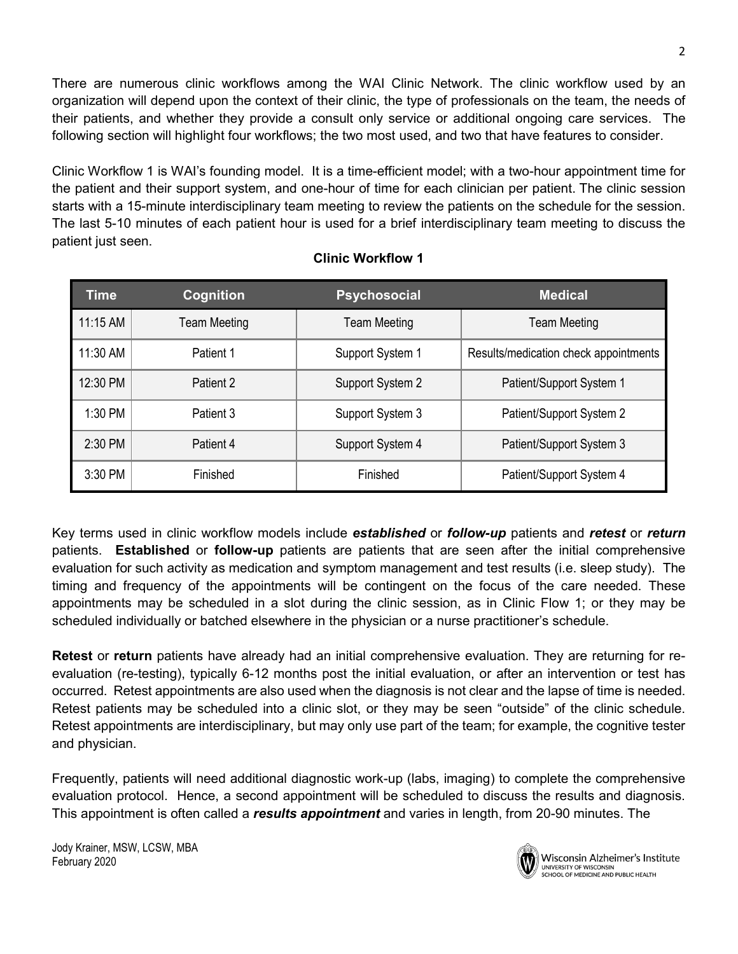There are numerous clinic workflows among the WAI Clinic Network. The clinic workflow used by an organization will depend upon the context of their clinic, the type of professionals on the team, the needs of their patients, and whether they provide a consult only service or additional ongoing care services. The following section will highlight four workflows; the two most used, and two that have features to consider.

Clinic Workflow 1 is WAI's founding model. It is a time-efficient model; with a two-hour appointment time for the patient and their support system, and one-hour of time for each clinician per patient. The clinic session starts with a 15-minute interdisciplinary team meeting to review the patients on the schedule for the session. The last 5-10 minutes of each patient hour is used for a brief interdisciplinary team meeting to discuss the patient just seen.

| <b>Time</b> | Cognition           | <b>Psychosocial</b> | <b>Medical</b>                        |  |
|-------------|---------------------|---------------------|---------------------------------------|--|
| $11:15$ AM  | <b>Team Meeting</b> | <b>Team Meeting</b> | <b>Team Meeting</b>                   |  |
| 11:30 AM    | Patient 1           | Support System 1    | Results/medication check appointments |  |
| 12:30 PM    | Patient 2           | Support System 2    | Patient/Support System 1              |  |
| 1:30 PM     | Patient 3           | Support System 3    | Patient/Support System 2              |  |
| $2:30$ PM   | Patient 4           | Support System 4    | Patient/Support System 3              |  |
| 3:30 PM     | Finished            | Finished            | Patient/Support System 4              |  |

## **Clinic Workflow 1**

Key terms used in clinic workflow models include *established* or *follow-up* patients and *retest* or *return* patients. **Established** or **follow-up** patients are patients that are seen after the initial comprehensive evaluation for such activity as medication and symptom management and test results (i.e. sleep study). The timing and frequency of the appointments will be contingent on the focus of the care needed. These appointments may be scheduled in a slot during the clinic session, as in Clinic Flow 1; or they may be scheduled individually or batched elsewhere in the physician or a nurse practitioner's schedule.

**Retest** or **return** patients have already had an initial comprehensive evaluation. They are returning for reevaluation (re-testing), typically 6-12 months post the initial evaluation, or after an intervention or test has occurred. Retest appointments are also used when the diagnosis is not clear and the lapse of time is needed. Retest patients may be scheduled into a clinic slot, or they may be seen "outside" of the clinic schedule. Retest appointments are interdisciplinary, but may only use part of the team; for example, the cognitive tester and physician.

Frequently, patients will need additional diagnostic work-up (labs, imaging) to complete the comprehensive evaluation protocol. Hence, a second appointment will be scheduled to discuss the results and diagnosis. This appointment is often called a *results appointment* and varies in length, from 20-90 minutes. The

Jody Krainer, MSW, LCSW, MBA February 2020



Wisconsin Alzheimer's Institute UNIVERSITY OF WISCONSIN SCHOOL OF MEDICINE AND PUBLIC HEALTH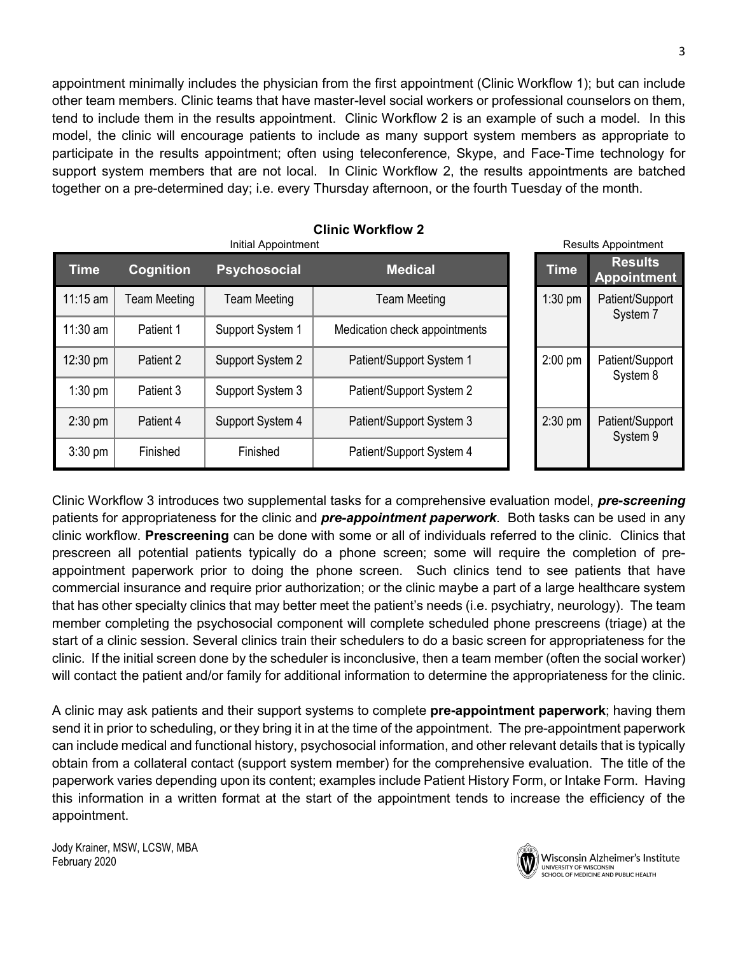appointment minimally includes the physician from the first appointment (Clinic Workflow 1); but can include other team members. Clinic teams that have master-level social workers or professional counselors on them, tend to include them in the results appointment. Clinic Workflow 2 is an example of such a model. In this model, the clinic will encourage patients to include as many support system members as appropriate to participate in the results appointment; often using teleconference, Skype, and Face-Time technology for support system members that are not local. In Clinic Workflow 2, the results appointments are batched together on a pre-determined day; i.e. every Thursday afternoon, or the fourth Tuesday of the month.

| Initial Appointment |                     |                     |                               |           | <b>Results Appointment</b> |                                      |
|---------------------|---------------------|---------------------|-------------------------------|-----------|----------------------------|--------------------------------------|
| <b>Time</b>         | <b>Cognition</b>    | <b>Psychosocial</b> | <b>Medical</b>                |           | <b>Time</b>                | <b>Results</b><br><b>Appointment</b> |
| $11:15$ am          | <b>Team Meeting</b> | Team Meeting        | <b>Team Meeting</b>           | $1:30$ pm |                            | Patient/Support<br>System 7          |
| $11:30$ am          | Patient 1           | Support System 1    | Medication check appointments |           |                            |                                      |
| $12:30 \text{ pm}$  | Patient 2           | Support System 2    | Patient/Support System 1      |           | $2:00$ pm                  | Patient/Support<br>System 8          |
| $1:30$ pm           | Patient 3           | Support System 3    | Patient/Support System 2      |           |                            |                                      |
| $2:30$ pm           | Patient 4           | Support System 4    | Patient/Support System 3      |           | $2:30$ pm                  | Patient/Support<br>System 9          |
| $3:30$ pm           | Finished            | Finished            | Patient/Support System 4      |           |                            |                                      |

**Clinic Workflow 2** 

Clinic Workflow 3 introduces two supplemental tasks for a comprehensive evaluation model, *pre-screening* patients for appropriateness for the clinic and *pre-appointment paperwork*. Both tasks can be used in any clinic workflow. **Prescreening** can be done with some or all of individuals referred to the clinic. Clinics that prescreen all potential patients typically do a phone screen; some will require the completion of preappointment paperwork prior to doing the phone screen. Such clinics tend to see patients that have commercial insurance and require prior authorization; or the clinic maybe a part of a large healthcare system that has other specialty clinics that may better meet the patient's needs (i.e. psychiatry, neurology). The team member completing the psychosocial component will complete scheduled phone prescreens (triage) at the start of a clinic session. Several clinics train their schedulers to do a basic screen for appropriateness for the clinic. If the initial screen done by the scheduler is inconclusive, then a team member (often the social worker) will contact the patient and/or family for additional information to determine the appropriateness for the clinic.

A clinic may ask patients and their support systems to complete **pre-appointment paperwork**; having them send it in prior to scheduling, or they bring it in at the time of the appointment. The pre-appointment paperwork can include medical and functional history, psychosocial information, and other relevant details that is typically obtain from a collateral contact (support system member) for the comprehensive evaluation. The title of the paperwork varies depending upon its content; examples include Patient History Form, or Intake Form. Having this information in a written format at the start of the appointment tends to increase the efficiency of the appointment.

Jody Krainer, MSW, LCSW, MBA February 2020



Wisconsin Alzheimer's Institute UNIVERSITY OF WISCONSIN SCHOOL OF MEDICINE AND PUBLIC HEALTH